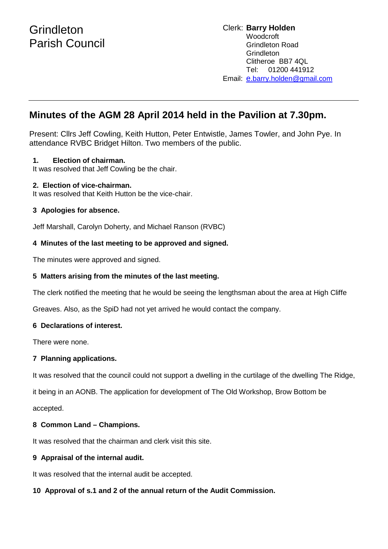# **Minutes of the AGM 28 April 2014 held in the Pavilion at 7.30pm.**

Present: Cllrs Jeff Cowling, Keith Hutton, Peter Entwistle, James Towler, and John Pye. In attendance RVBC Bridget Hilton. Two members of the public.

# **1. Election of chairman.**

It was resolved that Jeff Cowling be the chair.

#### **2. Election of vice-chairman.**

It was resolved that Keith Hutton be the vice-chair.

# **3 Apologies for absence.**

Jeff Marshall, Carolyn Doherty, and Michael Ranson (RVBC)

# **4 Minutes of the last meeting to be approved and signed.**

The minutes were approved and signed.

# **5 Matters arising from the minutes of the last meeting.**

The clerk notified the meeting that he would be seeing the lengthsman about the area at High Cliffe

Greaves. Also, as the SpiD had not yet arrived he would contact the company.

# **6 Declarations of interest.**

There were none.

# **7 Planning applications.**

It was resolved that the council could not support a dwelling in the curtilage of the dwelling The Ridge,

it being in an AONB. The application for development of The Old Workshop, Brow Bottom be

accepted.

# **8 Common Land – Champions.**

It was resolved that the chairman and clerk visit this site.

# **9 Appraisal of the internal audit.**

It was resolved that the internal audit be accepted.

# **10 Approval of s.1 and 2 of the annual return of the Audit Commission.**